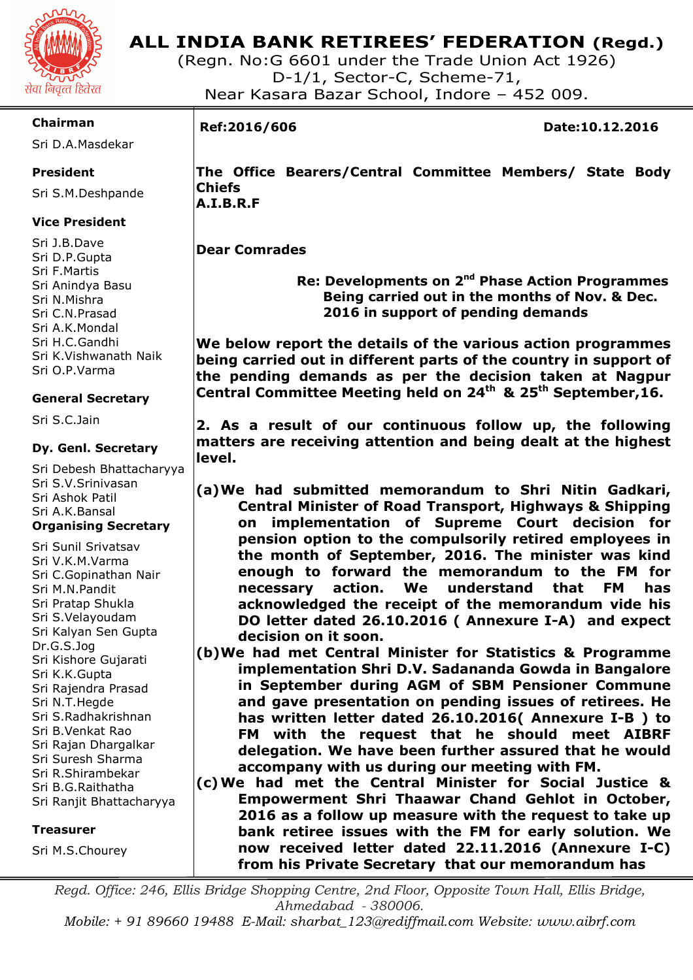

(Regn. No:G 6601 under the Trade Union Act 1926) D-1/1, Sector-C, Scheme-71, Near Kasara Bazar School, Indore – 452 009.

#### **Chairman**

Sri D.A.Masdekar

#### **President**

Sri S.M.Deshpande

#### **Vice President**

Sri J.B.Dave Sri D.P.Gupta Sri F.Martis Sri Anindya Basu Sri N.Mishra Sri C.N.Prasad Sri A.K.Mondal Sri H.C.Gandhi Sri K.Vishwanath Naik Sri O.P.Varma

#### **General Secretary**

Sri S.C.Jain

#### **Dy. Genl. Secretary**

Sri Debesh Bhattacharyya Sri S.V.Srinivasan Sri Ashok Patil Sri A.K.Bansal **Organising Secretary** 

Sri Sunil Srivatsav Sri V.K.M.Varma Sri C.Gopinathan Nair Sri M.N.Pandit Sri Pratap Shukla Sri S.Velayoudam Sri Kalyan Sen Gupta Dr.G.S.Jog Sri Kishore Gujarati Sri K.K.Gupta Sri Rajendra Prasad Sri N.T.Hegde Sri S.Radhakrishnan Sri B.Venkat Rao Sri Rajan Dhargalkar Sri Suresh Sharma Sri R.Shirambekar Sri B.G.Raithatha Sri Ranjit Bhattacharyya

#### **Treasurer**

Sri M.S.Chourey

I

**Ref:2016/606 Date:10.12.2016** 

**The Office Bearers/Central Committee Members/ State Body Chiefs A.I.B.R.F** 

#### **Dear Comrades**

 **Re: Developments on 2nd Phase Action Programmes Being carried out in the months of Nov. & Dec. 2016 in support of pending demands** 

**We below report the details of the various action programmes being carried out in different parts of the country in support of the pending demands as per the decision taken at Nagpur Central Committee Meeting held on 24th & 25th September,16.** 

**2. As a result of our continuous follow up, the following matters are receiving attention and being dealt at the highest level.** 

- **(a)We had submitted memorandum to Shri Nitin Gadkari, Central Minister of Road Transport, Highways & Shipping on implementation of Supreme Court decision for pension option to the compulsorily retired employees in the month of September, 2016. The minister was kind enough to forward the memorandum to the FM for necessary action. We understand that FM has acknowledged the receipt of the memorandum vide his DO letter dated 26.10.2016 ( Annexure I-A) and expect decision on it soon.**
- **(b)We had met Central Minister for Statistics & Programme implementation Shri D.V. Sadananda Gowda in Bangalore in September during AGM of SBM Pensioner Commune and gave presentation on pending issues of retirees. He has written letter dated 26.10.2016( Annexure I-B ) to FM with the request that he should meet AIBRF delegation. We have been further assured that he would accompany with us during our meeting with FM.**
- **(c)We had met the Central Minister for Social Justice & Empowerment Shri Thaawar Chand Gehlot in October, 2016 as a follow up measure with the request to take up bank retiree issues with the FM for early solution. We now received letter dated 22.11.2016 (Annexure I-C) from his Private Secretary that our memorandum has**

*Regd. Office: 246, Ellis Bridge Shopping Centre, 2nd Floor, Opposite Town Hall, Ellis Bridge, Ahmedabad - 380006.* 

*Mobile: + 91 89660 19488 E-Mail: sharbat\_123@rediffmail.com Website: www.aibrf.com*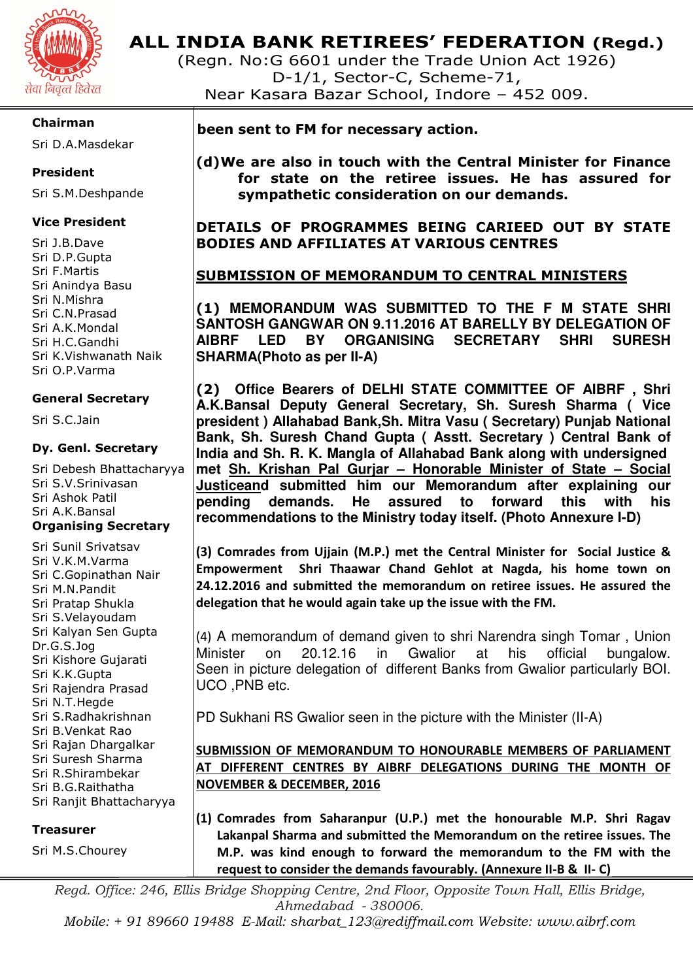

(Regn. No:G 6601 under the Trade Union Act 1926) D-1/1, Sector-C, Scheme-71, Near Kasara Bazar School, Indore – 452 009.

#### **Chairman**

Sri D.A.Masdekar

#### **President**

Sri S.M.Deshpande

#### **Vice President**

Sri J.B.Dave Sri D.P.Gupta Sri F.Martis Sri Anindya Basu Sri N.Mishra Sri C.N.Prasad Sri A.K.Mondal Sri H.C.Gandhi Sri K.Vishwanath Naik Sri O.P.Varma

#### **General Secretary**

Sri S.C.Jain

#### **Dy. Genl. Secretary**

Sri Debesh Bhattacharyya Sri S.V.Srinivasan Sri Ashok Patil Sri A.K.Bansal **Organising Secretary** 

Sri Sunil Srivatsav Sri V.K.M.Varma Sri C.Gopinathan Nair Sri M.N.Pandit Sri Pratap Shukla Sri S.Velayoudam Sri Kalyan Sen Gupta Dr.G.S.Jog Sri Kishore Gujarati Sri K.K.Gupta Sri Rajendra Prasad Sri N.T.Hegde Sri S.Radhakrishnan Sri B.Venkat Rao Sri Rajan Dhargalkar Sri Suresh Sharma Sri R.Shirambekar Sri B.G.Raithatha Sri Ranjit Bhattacharyya

#### **Treasurer**

Sri M.S.Chourey

 **been sent to FM for necessary action.** 

**(d)We are also in touch with the Central Minister for Finance for state on the retiree issues. He has assured for sympathetic consideration on our demands.** 

**DETAILS OF PROGRAMMES BEING CARIEED OUT BY STATE BODIES AND AFFILIATES AT VARIOUS CENTRES** 

### **SUBMISSION OF MEMORANDUM TO CENTRAL MINISTERS**

**(1) MEMORANDUM WAS SUBMITTED TO THE F M STATE SHRI SANTOSH GANGWAR ON 9.11.2016 AT BARELLY BY DELEGATION OF AIBRF LED BY ORGANISING SECRETARY SHRI SURESH SHARMA(Photo as per II-A)**

**(2) Office Bearers of DELHI STATE COMMITTEE OF AIBRF , Shri A.K.Bansal Deputy General Secretary, Sh. Suresh Sharma ( Vice president ) Allahabad Bank,Sh. Mitra Vasu ( Secretary) Punjab National Bank, Sh. Suresh Chand Gupta ( Asstt. Secretary ) Central Bank of India and Sh. R. K. Mangla of Allahabad Bank along with undersigned met Sh. Krishan Pal Gurjar – Honorable Minister of State – Social Justiceand submitted him our Memorandum after explaining our pending demands. He assured to forward this with his recommendations to the Ministry today itself. (Photo Annexure I-D)** 

**(3) Comrades from Ujjain (M.P.) met the Central Minister for Social Justice & Empowerment Shri Thaawar Chand Gehlot at Nagda, his home town on 24.12.2016 and submitted the memorandum on retiree issues. He assured the delegation that he would again take up the issue with the FM.** 

(4) A memorandum of demand given to shri Narendra singh Tomar , Union Minister on 20.12.16 in Gwalior at his official bungalow. Seen in picture delegation of different Banks from Gwalior particularly BOI. UCO ,PNB etc.

PD Sukhani RS Gwalior seen in the picture with the Minister (II-A)

### **SUBMISSION OF MEMORANDUM TO HONOURABLE MEMBERS OF PARLIAMENT AT DIFFERENT CENTRES BY AIBRF DELEGATIONS DURING THE MONTH OF NOVEMBER & DECEMBER, 2016**

**(1) Comrades from Saharanpur (U.P.) met the honourable M.P. Shri Ragav Lakanpal Sharma and submitted the Memorandum on the retiree issues. The M.P. was kind enough to forward the memorandum to the FM with the request to consider the demands favourably. (Annexure II-B & II- C)** 

Regd. Office: 246, Ellis Bridge Shopping Centre, 2nd Floor, Opposite Town Hall, Ellis Bridge, *Ahmedabad - 380006.* 

*Mobile: + 91 89660 19488 E-Mail: sharbat\_123@rediffmail.com Website: www.aibrf.com*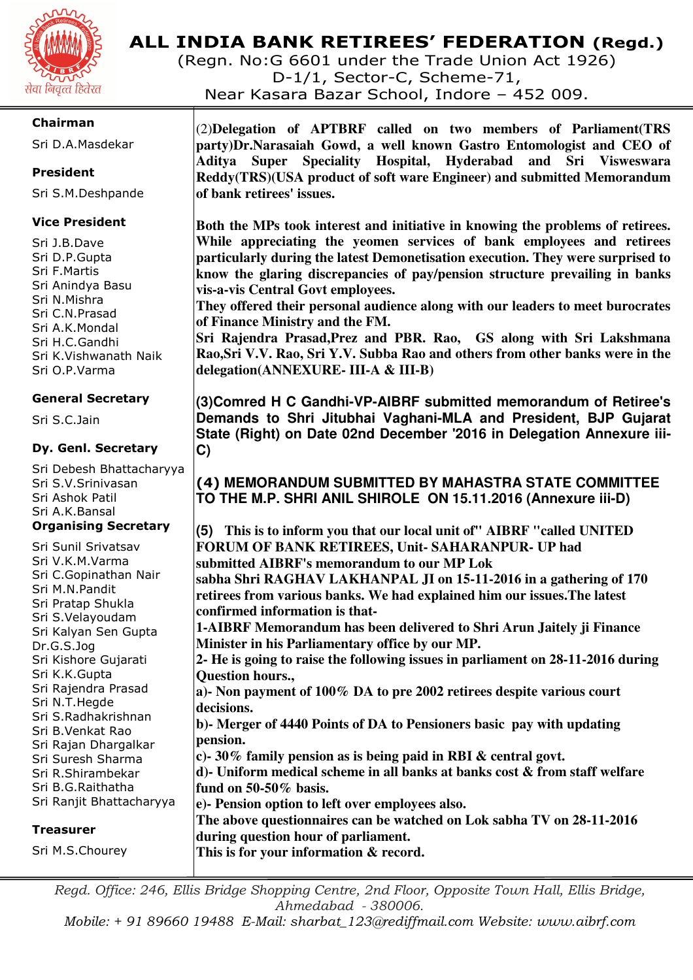

(Regn. No:G 6601 under the Trade Union Act 1926)

D-1/1, Sector-C, Scheme-71,

Near Kasara Bazar School, Indore – 452 009.

#### **Chairman**

Sri D.A.Masdekar

#### **President**

Sri S.M.Deshpande

#### **Vice President**

Sri J.B.Dave Sri D.P.Gupta Sri F.Martis Sri Anindya Basu Sri N.Mishra Sri C.N.Prasad Sri A.K.Mondal Sri H.C.Gandhi Sri K.Vishwanath Naik Sri O.P.Varma

#### **General Secretary**

Sri S.C.Jain

#### **Dy. Genl. Secretary**

Sri Debesh Bhattacharyya Sri S.V.Srinivasan Sri Ashok Patil Sri A.K.Bansal **Organising Secretary** 

Sri Sunil Srivatsav Sri V.K.M.Varma Sri C.Gopinathan Nair Sri M.N.Pandit Sri Pratap Shukla Sri S.Velayoudam Sri Kalyan Sen Gupta Dr.G.S.Jog Sri Kishore Gujarati Sri K.K.Gupta Sri Rajendra Prasad Sri N.T.Hegde Sri S.Radhakrishnan Sri B.Venkat Rao Sri Rajan Dhargalkar Sri Suresh Sharma Sri R.Shirambekar Sri B.G.Raithatha Sri Ranjit Bhattacharyya

#### **Treasurer**

Sri M.S.Chourey

(2)**Delegation of APTBRF called on two members of Parliament(TRS party)Dr.Narasaiah Gowd, a well known Gastro Entomologist and CEO of Aditya Super Speciality Hospital, Hyderabad and Sri Visweswara Reddy(TRS)(USA product of soft ware Engineer) and submitted Memorandum of bank retirees' issues.** 

**Both the MPs took interest and initiative in knowing the problems of retirees. While appreciating the yeomen services of bank employees and retirees particularly during the latest Demonetisation execution. They were surprised to know the glaring discrepancies of pay/pension structure prevailing in banks vis-a-vis Central Govt employees.** 

**They offered their personal audience along with our leaders to meet burocrates of Finance Ministry and the FM.** 

**Sri Rajendra Prasad,Prez and PBR. Rao, GS along with Sri Lakshmana Rao,Sri V.V. Rao, Sri Y.V. Subba Rao and others from other banks were in the delegation(ANNEXURE- III-A & III-B)** 

**(3)Comred H C Gandhi-VP-AIBRF submitted memorandum of Retiree's Demands to Shri Jitubhai Vaghani-MLA and President, BJP Gujarat State (Right) on Date 02nd December '2016 in Delegation Annexure iii-C)** 

### **(4) MEMORANDUM SUBMITTED BY MAHASTRA STATE COMMITTEE TO THE M.P. SHRI ANIL SHIROLE ON 15.11.2016 (Annexure iii-D)**

**(5) This is to inform you that our local unit of" AIBRF "called UNITED FORUM OF BANK RETIREES, Unit- SAHARANPUR- UP had submitted AIBRF's memorandum to our MP Lok sabha Shri RAGHAV LAKHANPAL JI on 15-11-2016 in a gathering of 170 retirees from various banks. We had explained him our issues.The latest confirmed information is that-1-AIBRF Memorandum has been delivered to Shri Arun Jaitely ji Finance Minister in his Parliamentary office by our MP. 2- He is going to raise the following issues in parliament on 28-11-2016 during Question hours., a)- Non payment of 100% DA to pre 2002 retirees despite various court decisions. b)- Merger of 4440 Points of DA to Pensioners basic pay with updating pension. c)- 30% family pension as is being paid in RBI & central govt. d)- Uniform medical scheme in all banks at banks cost & from staff welfare fund on 50-50% basis. e)- Pension option to left over employees also. The above questionnaires can be watched on Lok sabha TV on 28-11-2016 during question hour of parliament. This is for your information & record.** 

*Regd. Office: 246, Ellis Bridge Shopping Centre, 2nd Floor, Opposite Town Hall, Ellis Bridge, Ahmedabad - 380006.* 

*Mobile: + 91 89660 19488 E-Mail: sharbat\_123@rediffmail.com Website: www.aibrf.com*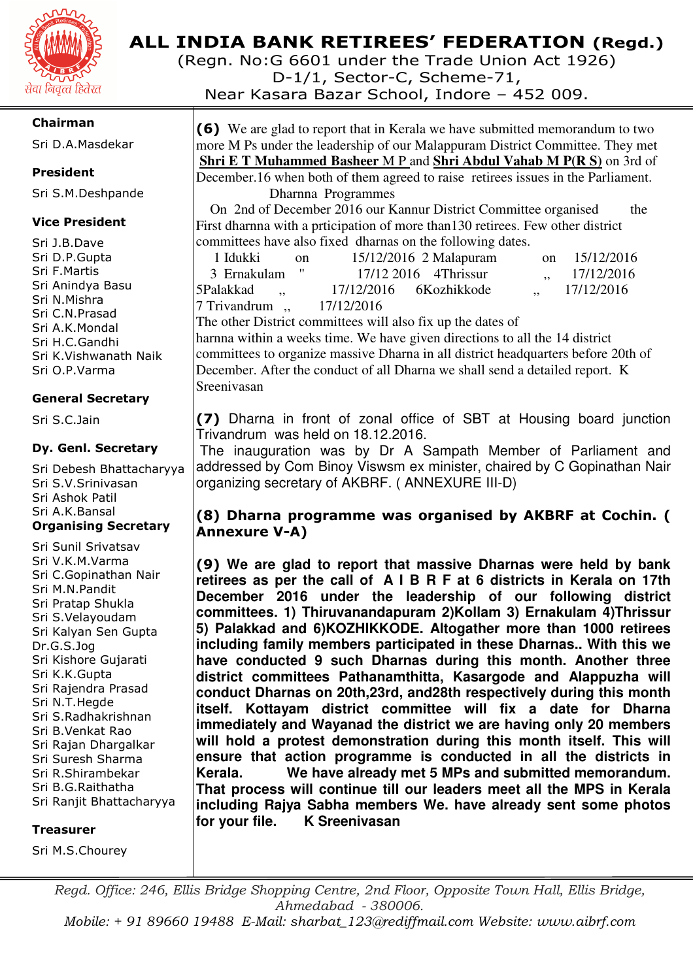

#### **Chairman**

Sri D.A.Masdekar

#### **President**

Sri S.M.Deshpande

#### **Vice President**

Sri J.B.Dave Sri D.P.Gupta Sri F.Martis Sri Anindya Basu Sri N.Mishra Sri C.N.Prasad Sri A.K.Mondal Sri H.C.Gandhi Sri K.Vishwanath Naik Sri O.P.Varma

#### **General Secretary**

Sri S.C.Jain

#### **Dy. Genl. Secretary**

Sri Debesh Bhattacharyya Sri S.V.Srinivasan Sri Ashok Patil Sri A.K.Bansal **Organising Secretary** 

Sri Sunil Srivatsav Sri V.K.M.Varma Sri C.Gopinathan Nair Sri M.N.Pandit Sri Pratap Shukla Sri S.Velayoudam Sri Kalyan Sen Gupta Dr.G.S.Jog Sri Kishore Gujarati Sri K.K.Gupta Sri Rajendra Prasad Sri N.T.Hegde Sri S.Radhakrishnan Sri B.Venkat Rao Sri Rajan Dhargalkar Sri Suresh Sharma Sri R.Shirambekar Sri B.G.Raithatha Sri Ranjit Bhattacharyya

#### **Treasurer**

Sri M.S.Chourey

# **ALL INDIA BANK RETIREES' FEDERATION (Regd.)**

(Regn. No:G 6601 under the Trade Union Act 1926)

D-1/1, Sector-C, Scheme-71,

Near Kasara Bazar School, Indore – 452 009.

**(6)** We are glad to report that in Kerala we have submitted memorandum to two more M Ps under the leadership of our Malappuram District Committee. They met **Shri E T Muhammed Basheer** M P and **Shri Abdul Vahab M P(R S)** on 3rd of December.16 when both of them agreed to raise retirees issues in the Parliament.

Dharnna Programmes

 On 2nd of December 2016 our Kannur District Committee organised the First dharnna with a prticipation of more than130 retirees. Few other district committees have also fixed dharnas on the following dates.

| 1 Idukki      | - on |            | $15/12/2016$ 2 Malapuram | on 15/12/2016        |
|---------------|------|------------|--------------------------|----------------------|
| 3 Ernakulam " |      |            | $17/12$ 2016 4Thrissur   | $\frac{17}{12/2016}$ |
| 5Palakkad     |      |            | 17/12/2016 6Kozhikkode   | 17/12/2016           |
| 7 Trivandrum, |      | 17/12/2016 |                          |                      |
|               |      |            |                          |                      |

The other District committees will also fix up the dates of

harnna within a weeks time. We have given directions to all the 14 district committees to organize massive Dharna in all district headquarters before 20th of December. After the conduct of all Dharna we shall send a detailed report. K Sreenivasan

**(7)** Dharna in front of zonal office of SBT at Housing board junction Trivandrum was held on 18.12.2016.

 The inauguration was by Dr A Sampath Member of Parliament and addressed by Com Binoy Viswsm ex minister, chaired by C Gopinathan Nair organizing secretary of AKBRF. ( ANNEXURE III-D)

### **(8) Dharna programme was organised by AKBRF at Cochin. ( Annexure V-A)**

**(9) We are glad to report that massive Dharnas were held by bank retirees as per the call of A I B R F at 6 districts in Kerala on 17th December 2016 under the leadership of our following district committees. 1) Thiruvanandapuram 2)Kollam 3) Ernakulam 4)Thrissur 5) Palakkad and 6)KOZHIKKODE. Altogather more than 1000 retirees including family members participated in these Dharnas.. With this we have conducted 9 such Dharnas during this month. Another three district committees Pathanamthitta, Kasargode and Alappuzha will conduct Dharnas on 20th,23rd, and28th respectively during this month itself. Kottayam district committee will fix a date for Dharna immediately and Wayanad the district we are having only 20 members will hold a protest demonstration during this month itself. This will ensure that action programme is conducted in all the districts in Kerala. We have already met 5 MPs and submitted memorandum. That process will continue till our leaders meet all the MPS in Kerala including Rajya Sabha members We. have already sent some photos for your file. K Sreenivasan** 

*Regd. Office: 246, Ellis Bridge Shopping Centre, 2nd Floor, Opposite Town Hall, Ellis Bridge, Ahmedabad - 380006. Mobile: + 91 89660 19488 E-Mail: sharbat\_123@rediffmail.com Website: www.aibrf.com*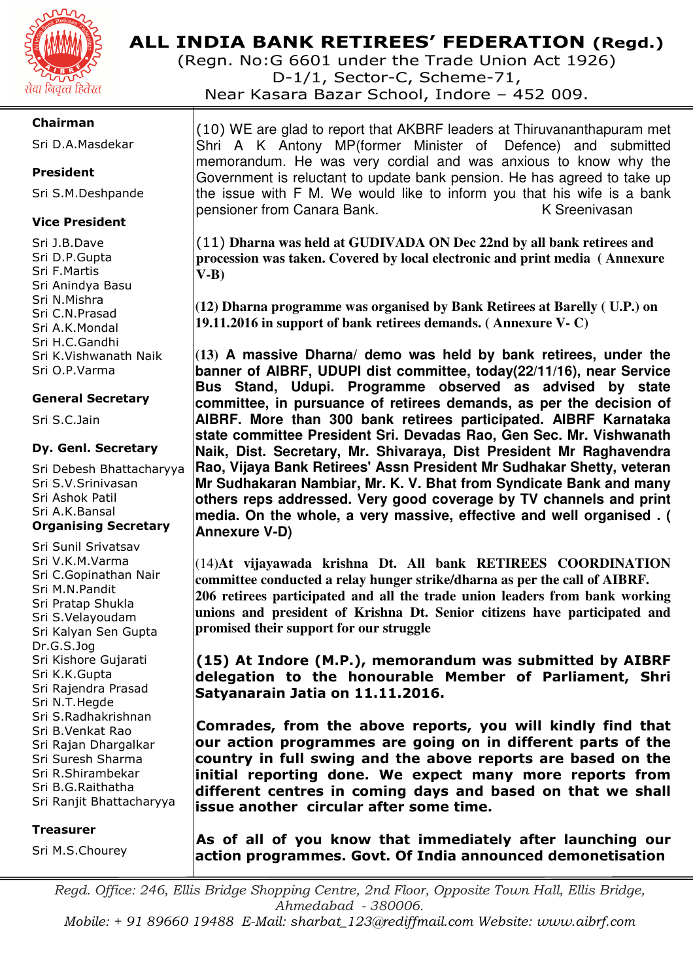

(Regn. No:G 6601 under the Trade Union Act 1926) D-1/1, Sector-C, Scheme-71,

Near Kasara Bazar School, Indore – 452 009.

#### **Chairman**

Sri D.A.Masdekar

#### **President**

Sri S.M.Deshpande

#### **Vice President**

Sri J.B.Dave Sri D.P.Gupta Sri F.Martis Sri Anindya Basu Sri N.Mishra Sri C.N.Prasad Sri A.K.Mondal Sri H.C.Gandhi Sri K.Vishwanath Naik Sri O.P.Varma

#### **General Secretary**

Sri S.C.Jain

#### **Dy. Genl. Secretary**

Sri Debesh Bhattacharyya Sri S.V.Srinivasan Sri Ashok Patil Sri A.K.Bansal **Organising Secretary** 

Sri Sunil Srivatsav Sri V.K.M.Varma Sri C.Gopinathan Nair Sri M.N.Pandit Sri Pratap Shukla Sri S.Velayoudam Sri Kalyan Sen Gupta Dr.G.S.Jog Sri Kishore Gujarati Sri K.K.Gupta Sri Rajendra Prasad Sri N.T.Hegde Sri S.Radhakrishnan Sri B.Venkat Rao Sri Rajan Dhargalkar Sri Suresh Sharma Sri R.Shirambekar Sri B.G.Raithatha Sri Ranjit Bhattacharyya

#### **Treasurer**

Sri M.S.Chourey

(10) WE are glad to report that AKBRF leaders at Thiruvananthapuram met Shri A K Antony MP(former Minister of Defence) and submitted memorandum. He was very cordial and was anxious to know why the Government is reluctant to update bank pension. He has agreed to take up the issue with F M. We would like to inform you that his wife is a bank pensioner from Canara Bank. K Sreenivasan

(11) **Dharna was held at GUDIVADA ON Dec 22nd by all bank retirees and procession was taken. Covered by local electronic and print media ( Annexure V-B)** 

**(12) Dharna programme was organised by Bank Retirees at Barelly ( U.P.) on 19.11.2016 in support of bank retirees demands. ( Annexure V- C)** 

**(13) A massive Dharna/ demo was held by bank retirees, under the banner of AIBRF, UDUPI dist committee, today(22/11/16), near Service Bus Stand, Udupi. Programme observed as advised by state committee, in pursuance of retirees demands, as per the decision of AIBRF. More than 300 bank retirees participated. AIBRF Karnataka state committee President Sri. Devadas Rao, Gen Sec. Mr. Vishwanath Naik, Dist. Secretary, Mr. Shivaraya, Dist President Mr Raghavendra Rao, Vijaya Bank Retirees' Assn President Mr Sudhakar Shetty, veteran Mr Sudhakaran Nambiar, Mr. K. V. Bhat from Syndicate Bank and many others reps addressed. Very good coverage by TV channels and print media. On the whole, a very massive, effective and well organised . ( Annexure V-D)** 

(14)**At vijayawada krishna Dt. All bank RETIREES COORDINATION committee conducted a relay hunger strike/dharna as per the call of AIBRF. 206 retirees participated and all the trade union leaders from bank working unions and president of Krishna Dt. Senior citizens have participated and promised their support for our struggle** 

**(15) At Indore (M.P.), memorandum was submitted by AIBRF delegation to the honourable Member of Parliament, Shri Satyanarain Jatia on 11.11.2016.** 

**Comrades, from the above reports, you will kindly find that our action programmes are going on in different parts of the country in full swing and the above reports are based on the initial reporting done. We expect many more reports from different centres in coming days and based on that we shall issue another circular after some time.** 

**As of all of you know that immediately after launching our action programmes. Govt. Of India announced demonetisation** 

*Regd. Office: 246, Ellis Bridge Shopping Centre, 2nd Floor, Opposite Town Hall, Ellis Bridge, Ahmedabad - 380006. Mobile: + 91 89660 19488 E-Mail: sharbat\_123@rediffmail.com Website: www.aibrf.com*